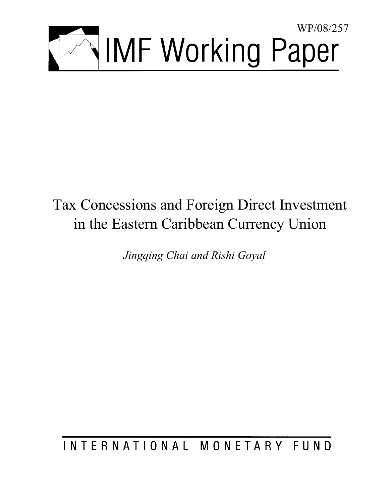

# Tax Concessions and Foreign Direct Investment in the Eastern Caribbean Currency Union

*Jingqing Chai and Rishi Goyal* 

INTERNATIONAL MONETARY FUND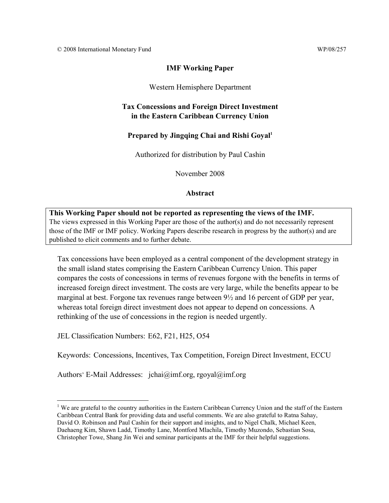## **IMF Working Paper**

## Western Hemisphere Department

## **Tax Concessions and Foreign Direct Investment in the Eastern Caribbean Currency Union**

## Prepared by Jingqing Chai and Rishi Goyal<sup>1</sup>

Authorized for distribution by Paul Cashin

November 2008

#### **Abstract**

## **This Working Paper should not be reported as representing the views of the IMF.** The views expressed in this Working Paper are those of the author(s) and do not necessarily represent those of the IMF or IMF policy. Working Papers describe research in progress by the author(s) and are published to elicit comments and to further debate.

Tax concessions have been employed as a central component of the development strategy in the small island states comprising the Eastern Caribbean Currency Union. This paper compares the costs of concessions in terms of revenues forgone with the benefits in terms of increased foreign direct investment. The costs are very large, while the benefits appear to be marginal at best. Forgone tax revenues range between 9½ and 16 percent of GDP per year, whereas total foreign direct investment does not appear to depend on concessions. A rethinking of the use of concessions in the region is needed urgently.

JEL Classification Numbers: E62, F21, H25, O54

<u>.</u>

Keywords: Concessions, Incentives, Tax Competition, Foreign Direct Investment, ECCU

Authors' E-Mail Addresses:  $\pi$ jchai@imf.org, rgoyal@imf.org

<sup>&</sup>lt;sup>1</sup> We are grateful to the country authorities in the Eastern Caribbean Currency Union and the staff of the Eastern Caribbean Central Bank for providing data and useful comments. We are also grateful to Ratna Sahay, David O. Robinson and Paul Cashin for their support and insights, and to Nigel Chalk, Michael Keen, Daehaeng Kim, Shawn Ladd, Timothy Lane, Montford Mlachila, Timothy Muzondo, Sebastian Sosa, Christopher Towe, Shang Jin Wei and seminar participants at the IMF for their helpful suggestions.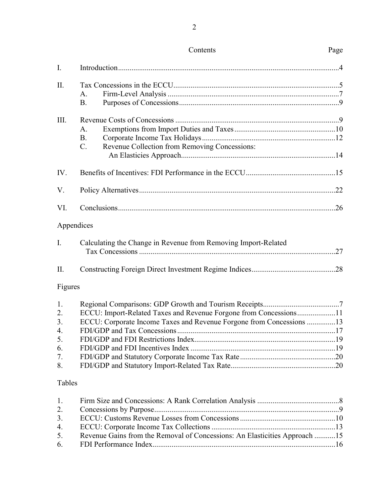| $\mathbf{I}$ . |                                                                            |  |
|----------------|----------------------------------------------------------------------------|--|
| II.            |                                                                            |  |
|                | A.                                                                         |  |
|                | <b>B.</b>                                                                  |  |
|                |                                                                            |  |
| III.           |                                                                            |  |
|                | A.                                                                         |  |
|                | <b>B.</b>                                                                  |  |
|                | Revenue Collection from Removing Concessions:<br>$C_{\cdot}$               |  |
|                |                                                                            |  |
| IV.            |                                                                            |  |
| V.             |                                                                            |  |
| VI.            |                                                                            |  |
| Appendices     |                                                                            |  |
| I.             | Calculating the Change in Revenue from Removing Import-Related             |  |
|                |                                                                            |  |
| II.            |                                                                            |  |
| Figures        |                                                                            |  |
| 1.             |                                                                            |  |
| 2.             | ECCU: Import-Related Taxes and Revenue Forgone from Concessions11          |  |
| 3.             | ECCU: Corporate Income Taxes and Revenue Forgone from Concessions 13       |  |
| 4.             |                                                                            |  |
| 5.             |                                                                            |  |
| 6.             |                                                                            |  |
| 7.             |                                                                            |  |
| 8.             |                                                                            |  |
| Tables         |                                                                            |  |
| 1.             |                                                                            |  |
| 2.             |                                                                            |  |
| 3.             |                                                                            |  |
| 4.             |                                                                            |  |
| 5.             | Revenue Gains from the Removal of Concessions: An Elasticities Approach 15 |  |
| 6.             |                                                                            |  |

Contents Page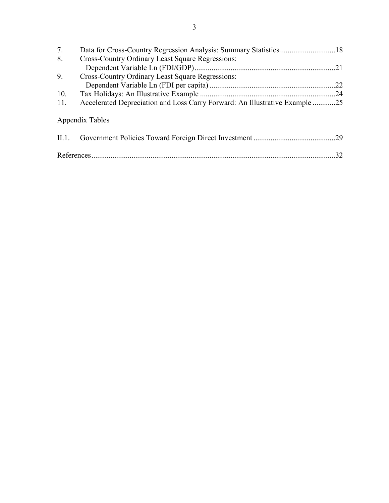| 7.    |                                                                             |      |
|-------|-----------------------------------------------------------------------------|------|
| 8.    | <b>Cross-Country Ordinary Least Square Regressions:</b>                     |      |
|       |                                                                             | .21  |
| 9.    | <b>Cross-Country Ordinary Least Square Regressions:</b>                     |      |
|       |                                                                             |      |
| 10.   |                                                                             | . 24 |
| 11.   | Accelerated Depreciation and Loss Carry Forward: An Illustrative Example 25 |      |
|       | Appendix Tables                                                             |      |
| II.1. |                                                                             | 29   |
|       |                                                                             | 32   |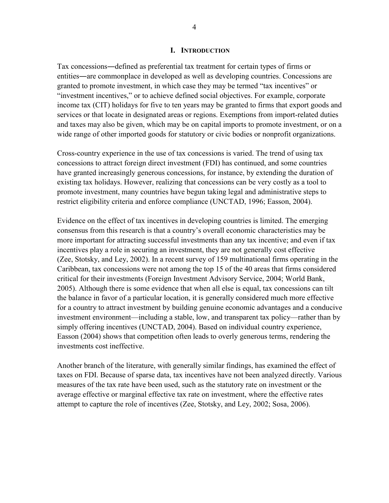#### **I. INTRODUCTION**

Tax concessions―defined as preferential tax treatment for certain types of firms or entities―are commonplace in developed as well as developing countries. Concessions are granted to promote investment, in which case they may be termed "tax incentives" or "investment incentives," or to achieve defined social objectives. For example, corporate income tax (CIT) holidays for five to ten years may be granted to firms that export goods and services or that locate in designated areas or regions. Exemptions from import-related duties and taxes may also be given, which may be on capital imports to promote investment, or on a wide range of other imported goods for statutory or civic bodies or nonprofit organizations.

Cross-country experience in the use of tax concessions is varied. The trend of using tax concessions to attract foreign direct investment (FDI) has continued, and some countries have granted increasingly generous concessions, for instance, by extending the duration of existing tax holidays. However, realizing that concessions can be very costly as a tool to promote investment, many countries have begun taking legal and administrative steps to restrict eligibility criteria and enforce compliance (UNCTAD, 1996; Easson, 2004).

Evidence on the effect of tax incentives in developing countries is limited. The emerging consensus from this research is that a country's overall economic characteristics may be more important for attracting successful investments than any tax incentive; and even if tax incentives play a role in securing an investment, they are not generally cost effective (Zee, Stotsky, and Ley, 2002). In a recent survey of 159 multinational firms operating in the Caribbean, tax concessions were not among the top 15 of the 40 areas that firms considered critical for their investments (Foreign Investment Advisory Service, 2004; World Bank, 2005). Although there is some evidence that when all else is equal, tax concessions can tilt the balance in favor of a particular location, it is generally considered much more effective for a country to attract investment by building genuine economic advantages and a conducive investment environment—including a stable, low, and transparent tax policy—rather than by simply offering incentives (UNCTAD, 2004). Based on individual country experience, Easson (2004) shows that competition often leads to overly generous terms, rendering the investments cost ineffective.

Another branch of the literature, with generally similar findings, has examined the effect of taxes on FDI. Because of sparse data, tax incentives have not been analyzed directly. Various measures of the tax rate have been used, such as the statutory rate on investment or the average effective or marginal effective tax rate on investment, where the effective rates attempt to capture the role of incentives (Zee, Stotsky, and Ley, 2002; Sosa, 2006).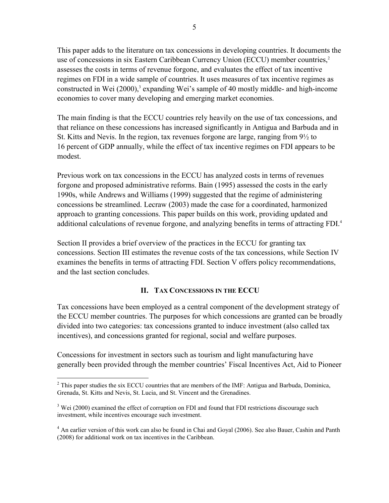This paper adds to the literature on tax concessions in developing countries. It documents the use of concessions in six Eastern Caribbean Currency Union (ECCU) member countries,<sup>2</sup> assesses the costs in terms of revenue forgone, and evaluates the effect of tax incentive regimes on FDI in a wide sample of countries. It uses measures of tax incentive regimes as constructed in Wei (2000),<sup>3</sup> expanding Wei's sample of 40 mostly middle- and high-income economies to cover many developing and emerging market economies.

The main finding is that the ECCU countries rely heavily on the use of tax concessions, and that reliance on these concessions has increased significantly in Antigua and Barbuda and in St. Kitts and Nevis. In the region, tax revenues forgone are large, ranging from 9½ to 16 percent of GDP annually, while the effect of tax incentive regimes on FDI appears to be modest.

Previous work on tax concessions in the ECCU has analyzed costs in terms of revenues forgone and proposed administrative reforms. Bain (1995) assessed the costs in the early 1990s, while Andrews and Williams (1999) suggested that the regime of administering concessions be streamlined. Lecraw (2003) made the case for a coordinated, harmonized approach to granting concessions. This paper builds on this work, providing updated and additional calculations of revenue forgone, and analyzing benefits in terms of attracting FDI.<sup>4</sup>

Section II provides a brief overview of the practices in the ECCU for granting tax concessions. Section III estimates the revenue costs of the tax concessions, while Section IV examines the benefits in terms of attracting FDI. Section V offers policy recommendations, and the last section concludes.

# **II. TAX CONCESSIONS IN THE ECCU**

Tax concessions have been employed as a central component of the development strategy of the ECCU member countries. The purposes for which concessions are granted can be broadly divided into two categories: tax concessions granted to induce investment (also called tax incentives), and concessions granted for regional, social and welfare purposes.

Concessions for investment in sectors such as tourism and light manufacturing have generally been provided through the member countries' Fiscal Incentives Act, Aid to Pioneer

1

 $2^2$  This paper studies the six ECCU countries that are members of the IMF: Antigua and Barbuda, Dominica, Grenada, St. Kitts and Nevis, St. Lucia, and St. Vincent and the Grenadines.

 $3$  Wei (2000) examined the effect of corruption on FDI and found that FDI restrictions discourage such investment, while incentives encourage such investment.

<sup>&</sup>lt;sup>4</sup> An earlier version of this work can also be found in Chai and Goyal (2006). See also Bauer, Cashin and Panth (2008) for additional work on tax incentives in the Caribbean.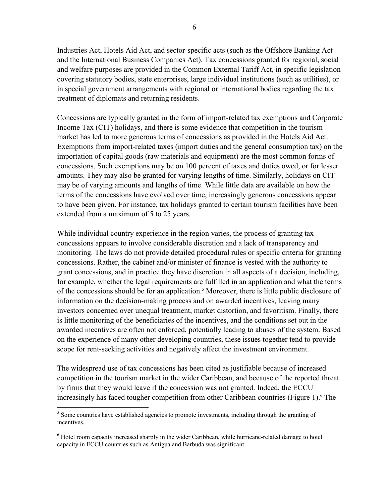Industries Act, Hotels Aid Act, and sector-specific acts (such as the Offshore Banking Act and the International Business Companies Act). Tax concessions granted for regional, social and welfare purposes are provided in the Common External Tariff Act, in specific legislation covering statutory bodies, state enterprises, large individual institutions (such as utilities), or in special government arrangements with regional or international bodies regarding the tax treatment of diplomats and returning residents.

Concessions are typically granted in the form of import-related tax exemptions and Corporate Income Tax (CIT) holidays, and there is some evidence that competition in the tourism market has led to more generous terms of concessions as provided in the Hotels Aid Act. Exemptions from import-related taxes (import duties and the general consumption tax) on the importation of capital goods (raw materials and equipment) are the most common forms of concessions. Such exemptions may be on 100 percent of taxes and duties owed, or for lesser amounts. They may also be granted for varying lengths of time. Similarly, holidays on CIT may be of varying amounts and lengths of time. While little data are available on how the terms of the concessions have evolved over time, increasingly generous concessions appear to have been given. For instance, tax holidays granted to certain tourism facilities have been extended from a maximum of 5 to 25 years.

While individual country experience in the region varies, the process of granting tax concessions appears to involve considerable discretion and a lack of transparency and monitoring. The laws do not provide detailed procedural rules or specific criteria for granting concessions. Rather, the cabinet and/or minister of finance is vested with the authority to grant concessions, and in practice they have discretion in all aspects of a decision, including, for example, whether the legal requirements are fulfilled in an application and what the terms of the concessions should be for an application.<sup>5</sup> Moreover, there is little public disclosure of information on the decision-making process and on awarded incentives, leaving many investors concerned over unequal treatment, market distortion, and favoritism. Finally, there is little monitoring of the beneficiaries of the incentives, and the conditions set out in the awarded incentives are often not enforced, potentially leading to abuses of the system. Based on the experience of many other developing countries, these issues together tend to provide scope for rent-seeking activities and negatively affect the investment environment.

The widespread use of tax concessions has been cited as justifiable because of increased competition in the tourism market in the wider Caribbean, and because of the reported threat by firms that they would leave if the concession was not granted. Indeed, the ECCU increasingly has faced tougher competition from other Caribbean countries (Figure 1).<sup>6</sup> The

<sup>1</sup> <sup>5</sup> Some countries have established agencies to promote investments, including through the granting of incentives.

<sup>&</sup>lt;sup>6</sup> Hotel room capacity increased sharply in the wider Caribbean, while hurricane-related damage to hotel capacity in ECCU countries such as Antigua and Barbuda was significant.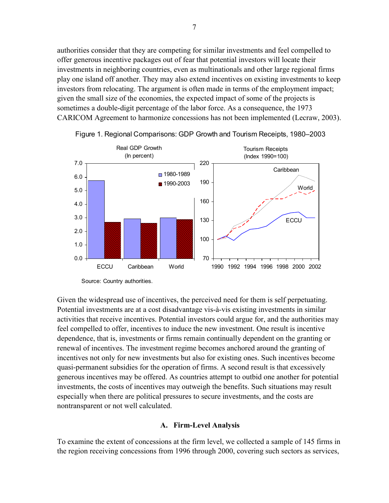authorities consider that they are competing for similar investments and feel compelled to offer generous incentive packages out of fear that potential investors will locate their investments in neighboring countries, even as multinationals and other large regional firms play one island off another. They may also extend incentives on existing investments to keep investors from relocating. The argument is often made in terms of the employment impact; given the small size of the economies, the expected impact of some of the projects is sometimes a double-digit percentage of the labor force. As a consequence, the 1973 CARICOM Agreement to harmonize concessions has not been implemented (Lecraw, 2003).



Figure 1. Regional Comparisons: GDP Growth and Tourism Receipts, 1980–2003

Given the widespread use of incentives, the perceived need for them is self perpetuating. Potential investments are at a cost disadvantage vis-à-vis existing investments in similar activities that receive incentives. Potential investors could argue for, and the authorities may feel compelled to offer, incentives to induce the new investment. One result is incentive dependence, that is, investments or firms remain continually dependent on the granting or renewal of incentives. The investment regime becomes anchored around the granting of incentives not only for new investments but also for existing ones. Such incentives become quasi-permanent subsidies for the operation of firms. A second result is that excessively generous incentives may be offered. As countries attempt to outbid one another for potential investments, the costs of incentives may outweigh the benefits. Such situations may result especially when there are political pressures to secure investments, and the costs are nontransparent or not well calculated.

#### **A. Firm-Level Analysis**

To examine the extent of concessions at the firm level, we collected a sample of 145 firms in the region receiving concessions from 1996 through 2000, covering such sectors as services,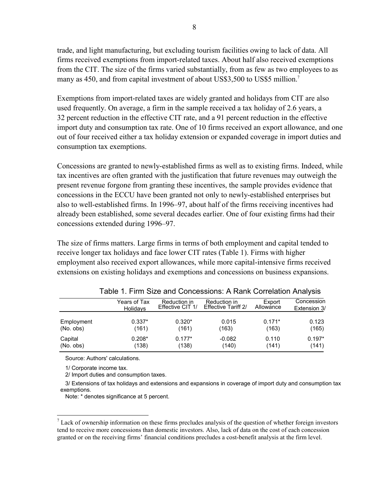trade, and light manufacturing, but excluding tourism facilities owing to lack of data. All firms received exemptions from import-related taxes. About half also received exemptions from the CIT. The size of the firms varied substantially, from as few as two employees to as many as 450, and from capital investment of about US\$3,500 to US\$5 million.<sup>7</sup>

Exemptions from import-related taxes are widely granted and holidays from CIT are also used frequently. On average, a firm in the sample received a tax holiday of 2.6 years, a 32 percent reduction in the effective CIT rate, and a 91 percent reduction in the effective import duty and consumption tax rate. One of 10 firms received an export allowance, and one out of four received either a tax holiday extension or expanded coverage in import duties and consumption tax exemptions.

Concessions are granted to newly-established firms as well as to existing firms. Indeed, while tax incentives are often granted with the justification that future revenues may outweigh the present revenue forgone from granting these incentives, the sample provides evidence that concessions in the ECCU have been granted not only to newly-established enterprises but also to well-established firms. In 1996–97, about half of the firms receiving incentives had already been established, some several decades earlier. One of four existing firms had their concessions extended during 1996–97.

The size of firms matters. Large firms in terms of both employment and capital tended to receive longer tax holidays and face lower CIT rates (Table 1). Firms with higher employment also received export allowances, while more capital-intensive firms received extensions on existing holidays and exemptions and concessions on business expansions.

|            | Years of Tax    | Reduction in     | Reduction in        | Export    | Concession   |
|------------|-----------------|------------------|---------------------|-----------|--------------|
|            | <b>Holidavs</b> | Effective CIT 1/ | Effective Tariff 2/ | Allowance | Extension 3/ |
| Employment | $0.337*$        | $0.320*$         | 0.015               | $0.171*$  | 0.123        |
| (No. obs)  | (161)           | (161)            | (163)               | (163)     | (165)        |
| Capital    | $0.208*$        | $0.177*$         | $-0.082$            | 0.110     | $0.197*$     |
| (No. obs)  | (138)           | (138)            | (140)               | (141)     | (141)        |

Table 1. Firm Size and Concessions: A Rank Correlation Analysis

Source: Authors' calculations.

1/ Corporate income tax.

 $\overline{a}$ 

2/ Import duties and consumption taxes.

 3/ Extensions of tax holidays and extensions and expansions in coverage of import duty and consumption tax exemptions.

Note: \* denotes significance at 5 percent.

 $<sup>7</sup>$  Lack of ownership information on these firms precludes analysis of the question of whether foreign investors</sup> tend to receive more concessions than domestic investors. Also, lack of data on the cost of each concession granted or on the receiving firms' financial conditions precludes a cost-benefit analysis at the firm level.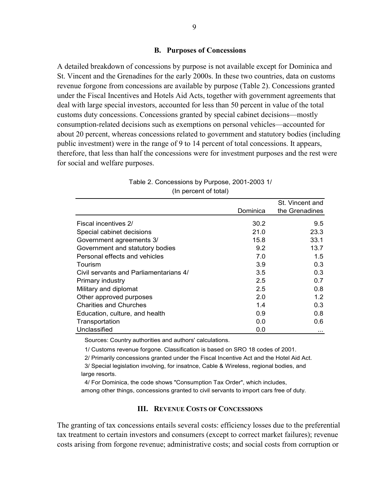#### **B. Purposes of Concessions**

A detailed breakdown of concessions by purpose is not available except for Dominica and St. Vincent and the Grenadines for the early 2000s. In these two countries, data on customs revenue forgone from concessions are available by purpose (Table 2). Concessions granted under the Fiscal Incentives and Hotels Aid Acts, together with government agreements that deal with large special investors, accounted for less than 50 percent in value of the total customs duty concessions. Concessions granted by special cabinet decisions—mostly consumption-related decisions such as exemptions on personal vehicles—accounted for about 20 percent, whereas concessions related to government and statutory bodies (including public investment) were in the range of 9 to 14 percent of total concessions. It appears, therefore, that less than half the concessions were for investment purposes and the rest were for social and welfare purposes.

|                                        |          | St. Vincent and |
|----------------------------------------|----------|-----------------|
|                                        | Dominica | the Grenadines  |
| <b>Fiscal incentives 2/</b>            | 30.2     | 9.5             |
| Special cabinet decisions              | 21.0     | 23.3            |
| Government agreements 3/               | 15.8     | 33.1            |
| Government and statutory bodies        | 9.2      | 13.7            |
| Personal effects and vehicles          | 7.0      | 1.5             |
| Tourism                                | 3.9      | 0.3             |
| Civil servants and Parliamentarians 4/ | 3.5      | 0.3             |
| Primary industry                       | 2.5      | 0.7             |
| Military and diplomat                  | 2.5      | 0.8             |
| Other approved purposes                | 2.0      | 1.2             |
| <b>Charities and Churches</b>          | 1.4      | 0.3             |
| Education, culture, and health         | 0.9      | 0.8             |
| Transportation                         | 0.0      | 0.6             |
| Unclassified                           | 0.0      | .               |

| Table 2. Concessions by Purpose, 2001-2003 1/ |                       |  |
|-----------------------------------------------|-----------------------|--|
|                                               | (In percent of total) |  |

Sources: Country authorities and authors' calculations.

1/ Customs revenue forgone. Classification is based on SRO 18 codes of 2001.

 2/ Primarily concessions granted under the Fiscal Incentive Act and the Hotel Aid Act. 3/ Special legislation involving, for insatnce, Cable & Wireless, regional bodies, and large resorts.

4/ For Dominica, the code shows "Consumption Tax Order", which includes,

among other things, concessions granted to civil servants to import cars free of duty.

#### **III. REVENUE COSTS OF CONCESSIONS**

The granting of tax concessions entails several costs: efficiency losses due to the preferential tax treatment to certain investors and consumers (except to correct market failures); revenue costs arising from forgone revenue; administrative costs; and social costs from corruption or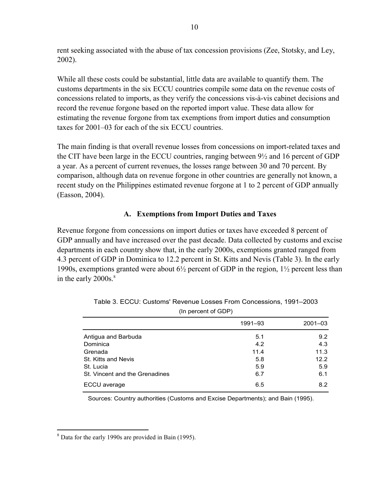rent seeking associated with the abuse of tax concession provisions (Zee, Stotsky, and Ley, 2002).

While all these costs could be substantial, little data are available to quantify them. The customs departments in the six ECCU countries compile some data on the revenue costs of concessions related to imports, as they verify the concessions vis-à-vis cabinet decisions and record the revenue forgone based on the reported import value. These data allow for estimating the revenue forgone from tax exemptions from import duties and consumption taxes for 2001–03 for each of the six ECCU countries.

The main finding is that overall revenue losses from concessions on import-related taxes and the CIT have been large in the ECCU countries, ranging between 9½ and 16 percent of GDP a year. As a percent of current revenues, the losses range between 30 and 70 percent. By comparison, although data on revenue forgone in other countries are generally not known, a recent study on the Philippines estimated revenue forgone at 1 to 2 percent of GDP annually (Easson, 2004).

## **A. Exemptions from Import Duties and Taxes**

Revenue forgone from concessions on import duties or taxes have exceeded 8 percent of GDP annually and have increased over the past decade. Data collected by customs and excise departments in each country show that, in the early 2000s, exemptions granted ranged from 4.3 percent of GDP in Dominica to 12.2 percent in St. Kitts and Nevis (Table 3). In the early 1990s, exemptions granted were about 6½ percent of GDP in the region, 1½ percent less than in the early  $2000s$ .<sup>8</sup>

|                                | 1991-93 | $2001 - 03$ |
|--------------------------------|---------|-------------|
| Antigua and Barbuda            | 5.1     | 9.2         |
| Dominica                       | 4.2     | 4.3         |
| Grenada                        | 11.4    | 11.3        |
| St. Kitts and Nevis            | 5.8     | 12.2        |
| St. Lucia                      | 5.9     | 5.9         |
| St. Vincent and the Grenadines | 6.7     | 6.1         |
| ECCU average                   | 6.5     | 8.2         |

Table 3. ECCU: Customs' Revenue Losses From Concessions, 1991–2003 (In percent of GDP)

Sources: Country authorities (Customs and Excise Departments); and Bain (1995).

 $\overline{a}$ 

<sup>&</sup>lt;sup>8</sup> Data for the early 1990s are provided in Bain (1995).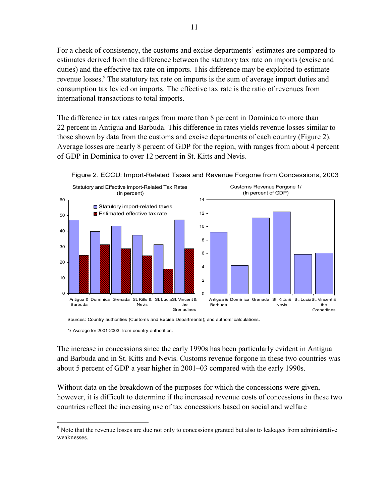For a check of consistency, the customs and excise departments' estimates are compared to estimates derived from the difference between the statutory tax rate on imports (excise and duties) and the effective tax rate on imports. This difference may be exploited to estimate revenue losses.<sup>9</sup> The statutory tax rate on imports is the sum of average import duties and consumption tax levied on imports. The effective tax rate is the ratio of revenues from international transactions to total imports.

The difference in tax rates ranges from more than 8 percent in Dominica to more than 22 percent in Antigua and Barbuda. This difference in rates yields revenue losses similar to those shown by data from the customs and excise departments of each country (Figure 2). Average losses are nearly 8 percent of GDP for the region, with ranges from about 4 percent of GDP in Dominica to over 12 percent in St. Kitts and Nevis.



Figure 2. ECCU: Import-Related Taxes and Revenue Forgone from Concessions, 2003

Sources: Country authorities (Customs and Excise Departments); and authors' calculations.

1/ Average for 2001-2003, from country authorities.

 $\overline{a}$ 

The increase in concessions since the early 1990s has been particularly evident in Antigua and Barbuda and in St. Kitts and Nevis. Customs revenue forgone in these two countries was about 5 percent of GDP a year higher in 2001–03 compared with the early 1990s.

Without data on the breakdown of the purposes for which the concessions were given, however, it is difficult to determine if the increased revenue costs of concessions in these two countries reflect the increasing use of tax concessions based on social and welfare

<sup>&</sup>lt;sup>9</sup> Note that the revenue losses are due not only to concessions granted but also to leakages from administrative weaknesses.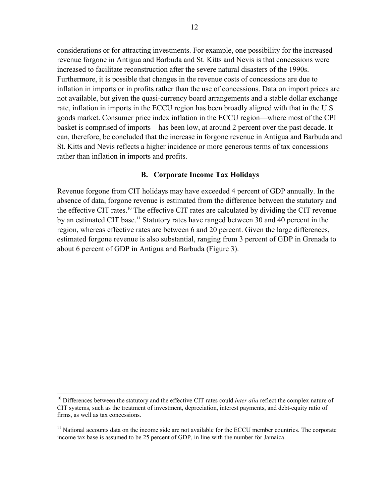considerations or for attracting investments. For example, one possibility for the increased revenue forgone in Antigua and Barbuda and St. Kitts and Nevis is that concessions were increased to facilitate reconstruction after the severe natural disasters of the 1990s. Furthermore, it is possible that changes in the revenue costs of concessions are due to inflation in imports or in profits rather than the use of concessions. Data on import prices are not available, but given the quasi-currency board arrangements and a stable dollar exchange rate, inflation in imports in the ECCU region has been broadly aligned with that in the U.S. goods market. Consumer price index inflation in the ECCU region—where most of the CPI basket is comprised of imports—has been low, at around 2 percent over the past decade. It can, therefore, be concluded that the increase in forgone revenue in Antigua and Barbuda and St. Kitts and Nevis reflects a higher incidence or more generous terms of tax concessions rather than inflation in imports and profits.

## **B. Corporate Income Tax Holidays**

Revenue forgone from CIT holidays may have exceeded 4 percent of GDP annually. In the absence of data, forgone revenue is estimated from the difference between the statutory and the effective CIT rates.10 The effective CIT rates are calculated by dividing the CIT revenue by an estimated CIT base.<sup>11</sup> Statutory rates have ranged between 30 and 40 percent in the region, whereas effective rates are between 6 and 20 percent. Given the large differences, estimated forgone revenue is also substantial, ranging from 3 percent of GDP in Grenada to about 6 percent of GDP in Antigua and Barbuda (Figure 3).

 $\overline{a}$ 

<sup>&</sup>lt;sup>10</sup> Differences between the statutory and the effective CIT rates could *inter alia* reflect the complex nature of CIT systems, such as the treatment of investment, depreciation, interest payments, and debt-equity ratio of firms, as well as tax concessions.

<sup>&</sup>lt;sup>11</sup> National accounts data on the income side are not available for the ECCU member countries. The corporate income tax base is assumed to be 25 percent of GDP, in line with the number for Jamaica.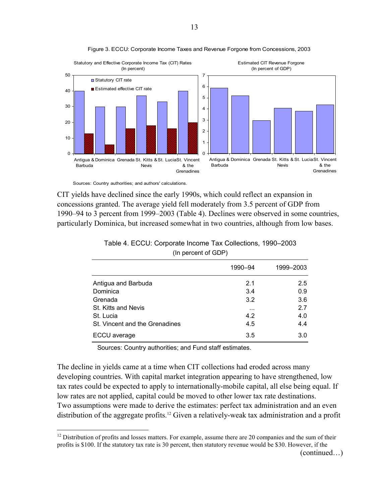



Sources: Country authorities; and authors' calculations.

<u>.</u>

CIT yields have declined since the early 1990s, which could reflect an expansion in concessions granted. The average yield fell moderately from 3.5 percent of GDP from 1990–94 to 3 percent from 1999–2003 (Table 4). Declines were observed in some countries, particularly Dominica, but increased somewhat in two countries, although from low bases.

|                                | 1990-94  | 1999-2003 |
|--------------------------------|----------|-----------|
| Antigua and Barbuda            | 2.1      | 2.5       |
| Dominica                       | 3.4      | 0.9       |
| Grenada                        | 3.2      | 3.6       |
| St. Kitts and Nevis            | $\cdots$ | 2.7       |
| St. Lucia                      | 4.2      | 4.0       |
| St. Vincent and the Grenadines | 4.5      | 4.4       |
| ECCU average                   | 3.5      | 3.0       |

| Table 4. ECCU: Corporate Income Tax Collections, 1990-2003 |  |
|------------------------------------------------------------|--|
| (In percent of GDP)                                        |  |

Sources: Country authorities; and Fund staff estimates.

The decline in yields came at a time when CIT collections had eroded across many developing countries. With capital market integration appearing to have strengthened, low tax rates could be expected to apply to internationally-mobile capital, all else being equal. If low rates are not applied, capital could be moved to other lower tax rate destinations. Two assumptions were made to derive the estimates: perfect tax administration and an even distribution of the aggregate profits.<sup>12</sup> Given a relatively-weak tax administration and a profit

<sup>&</sup>lt;sup>12</sup> Distribution of profits and losses matters. For example, assume there are 20 companies and the sum of their profits is \$100. If the statutory tax rate is 30 percent, then statutory revenue would be \$30. However, if the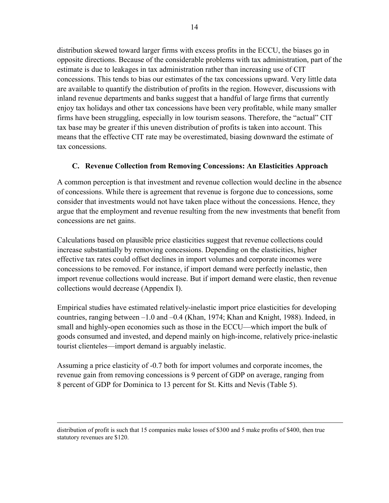distribution skewed toward larger firms with excess profits in the ECCU, the biases go in opposite directions. Because of the considerable problems with tax administration, part of the estimate is due to leakages in tax administration rather than increasing use of CIT concessions. This tends to bias our estimates of the tax concessions upward. Very little data are available to quantify the distribution of profits in the region. However, discussions with inland revenue departments and banks suggest that a handful of large firms that currently enjoy tax holidays and other tax concessions have been very profitable, while many smaller firms have been struggling, especially in low tourism seasons. Therefore, the "actual" CIT tax base may be greater if this uneven distribution of profits is taken into account. This means that the effective CIT rate may be overestimated, biasing downward the estimate of tax concessions.

# **C. Revenue Collection from Removing Concessions: An Elasticities Approach**

A common perception is that investment and revenue collection would decline in the absence of concessions. While there is agreement that revenue is forgone due to concessions, some consider that investments would not have taken place without the concessions. Hence, they argue that the employment and revenue resulting from the new investments that benefit from concessions are net gains.

Calculations based on plausible price elasticities suggest that revenue collections could increase substantially by removing concessions. Depending on the elasticities, higher effective tax rates could offset declines in import volumes and corporate incomes were concessions to be removed. For instance, if import demand were perfectly inelastic, then import revenue collections would increase. But if import demand were elastic, then revenue collections would decrease (Appendix I).

Empirical studies have estimated relatively-inelastic import price elasticities for developing countries, ranging between –1.0 and –0.4 (Khan, 1974; Khan and Knight, 1988). Indeed, in small and highly-open economies such as those in the ECCU—which import the bulk of goods consumed and invested, and depend mainly on high-income, relatively price-inelastic tourist clienteles—import demand is arguably inelastic.

Assuming a price elasticity of -0.7 both for import volumes and corporate incomes, the revenue gain from removing concessions is 9 percent of GDP on average, ranging from 8 percent of GDP for Dominica to 13 percent for St. Kitts and Nevis (Table 5).

distribution of profit is such that 15 companies make losses of \$300 and 5 make profits of \$400, then true statutory revenues are \$120.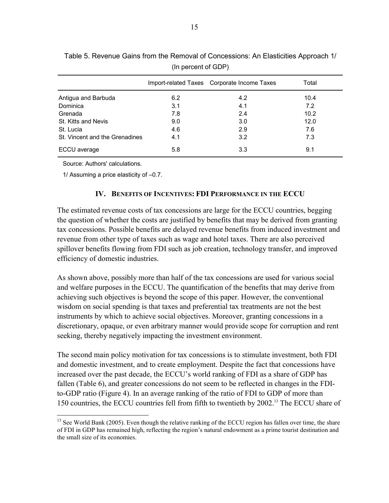|                                |     | Import-related Taxes Corporate Income Taxes | Total |
|--------------------------------|-----|---------------------------------------------|-------|
| Antigua and Barbuda            | 6.2 | 4.2                                         | 10.4  |
| Dominica                       | 3.1 | 4.1                                         | 7.2   |
| Grenada                        | 7.8 | 2.4                                         | 10.2  |
| St. Kitts and Nevis            | 9.0 | 3.0                                         | 12.0  |
| St. Lucia                      | 4.6 | 2.9                                         | 7.6   |
| St. Vincent and the Grenadines | 4.1 | 3.2                                         | 7.3   |
| ECCU average                   | 5.8 | 3.3                                         | 9.1   |

(In percent of GDP) Table 5. Revenue Gains from the Removal of Concessions: An Elasticities Approach 1/

Source: Authors' calculations.

 $\overline{a}$ 

1/ Assuming a price elasticity of –0.7.

## **IV. BENEFITS OF INCENTIVES: FDI PERFORMANCE IN THE ECCU**

The estimated revenue costs of tax concessions are large for the ECCU countries, begging the question of whether the costs are justified by benefits that may be derived from granting tax concessions. Possible benefits are delayed revenue benefits from induced investment and revenue from other type of taxes such as wage and hotel taxes. There are also perceived spillover benefits flowing from FDI such as job creation, technology transfer, and improved efficiency of domestic industries.

As shown above, possibly more than half of the tax concessions are used for various social and welfare purposes in the ECCU. The quantification of the benefits that may derive from achieving such objectives is beyond the scope of this paper. However, the conventional wisdom on social spending is that taxes and preferential tax treatments are not the best instruments by which to achieve social objectives. Moreover, granting concessions in a discretionary, opaque, or even arbitrary manner would provide scope for corruption and rent seeking, thereby negatively impacting the investment environment.

The second main policy motivation for tax concessions is to stimulate investment, both FDI and domestic investment, and to create employment. Despite the fact that concessions have increased over the past decade, the ECCU's world ranking of FDI as a share of GDP has fallen (Table 6), and greater concessions do not seem to be reflected in changes in the FDIto-GDP ratio (Figure 4). In an average ranking of the ratio of FDI to GDP of more than 150 countries, the ECCU countries fell from fifth to twentieth by 2002.13 The ECCU share of

<sup>&</sup>lt;sup>13</sup> See World Bank (2005). Even though the relative ranking of the ECCU region has fallen over time, the share of FDI in GDP has remained high, reflecting the region's natural endowment as a prime tourist destination and the small size of its economies.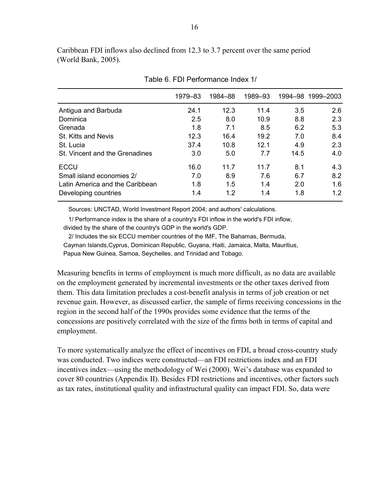Caribbean FDI inflows also declined from 12.3 to 3.7 percent over the same period (World Bank, 2005).

|                                 | 1979–83 | 1984-88 | 1989-93 |      | 1994-98 1999-2003 |
|---------------------------------|---------|---------|---------|------|-------------------|
| Antigua and Barbuda             | 24.1    | 12.3    | 11.4    | 3.5  | 2.6               |
| Dominica                        | 2.5     | 8.0     | 10.9    | 8.8  | 2.3               |
| Grenada                         | 1.8     | 7.1     | 8.5     | 6.2  | 5.3               |
| St. Kitts and Nevis             | 12.3    | 16.4    | 19.2    | 7.0  | 8.4               |
| St. Lucia                       | 37.4    | 10.8    | 12.1    | 4.9  | 2.3               |
| St. Vincent and the Grenadines  | 3.0     | 5.0     | 7.7     | 14.5 | 4.0               |
| <b>ECCU</b>                     | 16.0    | 11.7    | 11.7    | 8.1  | 4.3               |
| Small island economies 2/       | 7.0     | 8.9     | 7.6     | 6.7  | 8.2               |
| Latin America and the Caribbean | 1.8     | 1.5     | 1.4     | 2.0  | 1.6               |
| Developing countries            | 1.4     | 1.2     | 1.4     | 1.8  | 1.2               |

Table 6. FDI Performance Index 1/

Sources: UNCTAD, World Investment Report 2004; and authors' calculations.

 1/ Performance index is the share of a country's FDI inflow in the world's FDI inflow, divided by the share of the country's GDP in the world's GDP.

 2/ Includes the six ECCU member countries of the IMF, The Bahamas, Bermuda, Cayman Islands,Cyprus, Dominican Republic, Guyana, Haiti, Jamaica, Malta, Mauritius, Papua New Guinea, Samoa, Seychelles, and Trinidad and Tobago.

Measuring benefits in terms of employment is much more difficult, as no data are available on the employment generated by incremental investments or the other taxes derived from them. This data limitation precludes a cost-benefit analysis in terms of job creation or net revenue gain. However, as discussed earlier, the sample of firms receiving concessions in the region in the second half of the 1990s provides some evidence that the terms of the concessions are positively correlated with the size of the firms both in terms of capital and employment.

To more systematically analyze the effect of incentives on FDI, a broad cross-country study was conducted. Two indices were constructed—an FDI restrictions index and an FDI incentives index—using the methodology of Wei (2000). Wei's database was expanded to cover 80 countries (Appendix II). Besides FDI restrictions and incentives, other factors such as tax rates, institutional quality and infrastructural quality can impact FDI. So, data were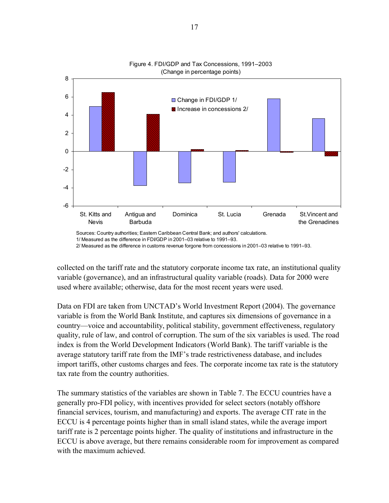



2/ Measured as the difference in customs revenue forgone from concessions in 2001–03 relative to 1991–93.

collected on the tariff rate and the statutory corporate income tax rate, an institutional quality variable (governance), and an infrastructural quality variable (roads). Data for 2000 were used where available; otherwise, data for the most recent years were used.

Data on FDI are taken from UNCTAD's World Investment Report (2004). The governance variable is from the World Bank Institute, and captures six dimensions of governance in a country—voice and accountability, political stability, government effectiveness, regulatory quality, rule of law, and control of corruption. The sum of the six variables is used. The road index is from the World Development Indicators (World Bank). The tariff variable is the average statutory tariff rate from the IMF's trade restrictiveness database, and includes import tariffs, other customs charges and fees. The corporate income tax rate is the statutory tax rate from the country authorities.

The summary statistics of the variables are shown in Table 7. The ECCU countries have a generally pro-FDI policy, with incentives provided for select sectors (notably offshore financial services, tourism, and manufacturing) and exports. The average CIT rate in the ECCU is 4 percentage points higher than in small island states, while the average import tariff rate is 2 percentage points higher. The quality of institutions and infrastructure in the ECCU is above average, but there remains considerable room for improvement as compared with the maximum achieved.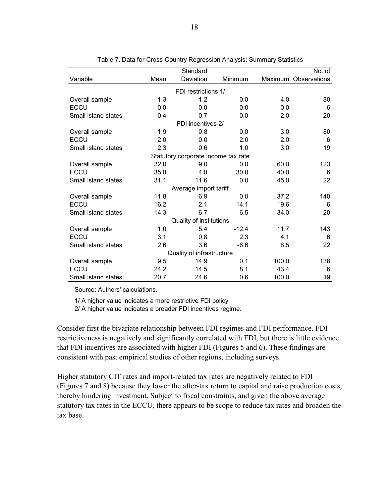| Standard<br>No. of                         |      |                                     |         |       |                      |  |  |  |
|--------------------------------------------|------|-------------------------------------|---------|-------|----------------------|--|--|--|
| Variable                                   | Mean | Deviation                           | Minimum |       | Maximum Observations |  |  |  |
|                                            |      | FDI restrictions 1/                 |         |       |                      |  |  |  |
| 1.3<br>1.2<br>0.0<br>4.0<br>Overall sample |      |                                     |         |       |                      |  |  |  |
| <b>ECCU</b>                                | 0.0  | 0.0                                 | 0.0     | 0.0   | 6                    |  |  |  |
| Small island states                        | 0.4  | 0.7                                 | 0.0     | 2.0   | 20                   |  |  |  |
|                                            |      | FDI incentives 2/                   |         |       |                      |  |  |  |
| Overall sample                             | 1.9  | 0.8                                 | 0.0     | 3.0   | 80                   |  |  |  |
| <b>ECCU</b>                                | 2.0  | 0.0                                 | 2.0     | 2.0   | 6                    |  |  |  |
| Small island states                        | 2.3  | 0.6                                 | 1.0     | 3.0   | 19                   |  |  |  |
|                                            |      | Statutory corporate income tax rate |         |       |                      |  |  |  |
| Overall sample                             | 32.0 | 9.0                                 | 0.0     | 60.0  | 123                  |  |  |  |
| ECCU                                       | 35.0 | 4.0                                 | 30.0    | 40.0  | 6                    |  |  |  |
| Small island states                        | 31.1 | 11.6                                | 0.0     | 45.0  | 22                   |  |  |  |
|                                            |      | Average import tariff               |         |       |                      |  |  |  |
| Overall sample                             | 11.8 | 6.9                                 | 0.0     | 37.2  | 140                  |  |  |  |
| <b>ECCU</b>                                | 16.2 | 2.1                                 | 14.1    | 19.6  | 6                    |  |  |  |
| Small island states                        | 14.3 | 6.7                                 | 6.5     | 34.0  | 20                   |  |  |  |
|                                            |      | Quality of institutions             |         |       |                      |  |  |  |
| Overall sample                             | 1.0  | 5.4                                 | $-12.4$ | 11.7  | 143                  |  |  |  |
| <b>ECCU</b>                                | 3.1  | 0.8                                 | 2.3     | 4.1   | 6                    |  |  |  |
| Small island states                        | 2.6  | 3.6                                 | $-6.6$  | 8.5   | 22                   |  |  |  |
|                                            |      | Quality of infrastructure           |         |       |                      |  |  |  |
| Overall sample                             | 9.5  | 14.9                                | 0.1     | 100.0 | 138                  |  |  |  |
| <b>ECCU</b>                                | 24.2 | 14.5                                | 8.1     | 43.4  | 6                    |  |  |  |
| Small island states                        | 20.7 | 24.6                                | 0.6     | 100.0 | 19                   |  |  |  |

Table 7. Data for Cross-Country Regression Analysis: Summary Statistics

Source: Authors' calculations.

1/ A higher value indicates a more restrictive FDI policy.

2/ A higher value indicates a broader FDI incentives regime.

Consider first the bivariate relationship between FDI regimes and FDI performance. FDI restrictiveness is negatively and significantly correlated with FDI, but there is little evidence that FDI incentives are associated with higher FDI (Figures 5 and 6). These findings are consistent with past empirical studies of other regions, including surveys.

Higher statutory CIT rates and import-related tax rates are negatively related to FDI (Figures 7 and 8) because they lower the after-tax return to capital and raise production costs, thereby hindering investment. Subject to fiscal constraints, and given the above average statutory tax rates in the ECCU, there appears to be scope to reduce tax rates and broaden the tax base.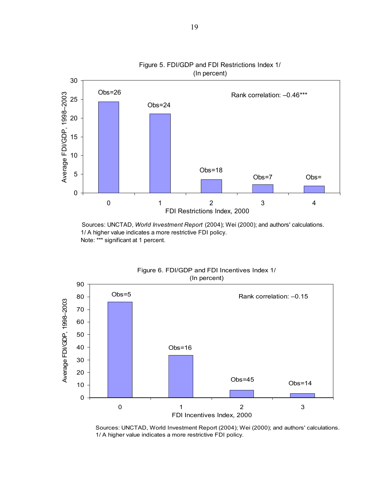

 Sources: UNCTAD, *World Investment Report* (2004); Wei (2000); and authors' calculations. 1/ A higher value indicates a more restrictive FDI policy. Note: \*\*\* significant at 1 percent.



Figure 6. FDI/GDP and FDI Incentives Index 1/

 Sources: UNCTAD, World Investment Report (2004); Wei (2000); and authors' calculations. 1/ A higher value indicates a more restrictive FDI policy.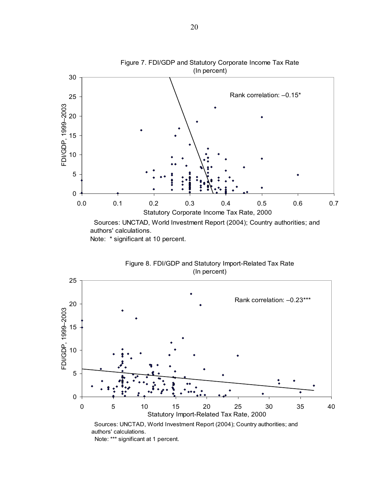

Figure 8. FDI/GDP and Statutory Import-Related Tax Rate (In percent)



Note: \*\*\* significant at 1 percent.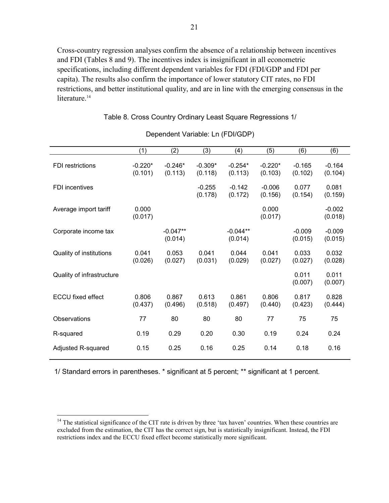Cross-country regression analyses confirm the absence of a relationship between incentives and FDI (Tables 8 and 9). The incentives index is insignificant in all econometric specifications, including different dependent variables for FDI (FDI/GDP and FDI per capita). The results also confirm the importance of lower statutory CIT rates, no FDI restrictions, and better institutional quality, and are in line with the emerging consensus in the literature.<sup>14</sup>

|                           | Dependent variable. Lit (FDI/GDF) |                       |                      |                       |                      |                     |                     |  |
|---------------------------|-----------------------------------|-----------------------|----------------------|-----------------------|----------------------|---------------------|---------------------|--|
|                           | (1)                               | (2)                   | (3)                  | (4)                   | (5)                  | (6)                 | (6)                 |  |
| FDI restrictions          | $-0.220*$<br>(0.101)              | $-0.246*$<br>(0.113)  | $-0.309*$<br>(0.118) | $-0.254*$<br>(0.113)  | $-0.220*$<br>(0.103) | $-0.165$<br>(0.102) | $-0.164$<br>(0.104) |  |
| <b>FDI</b> incentives     |                                   |                       | $-0.255$<br>(0.178)  | $-0.142$<br>(0.172)   | $-0.006$<br>(0.156)  | 0.077<br>(0.154)    | 0.081<br>(0.159)    |  |
| Average import tariff     | 0.000<br>(0.017)                  |                       |                      |                       | 0.000<br>(0.017)     |                     | $-0.002$<br>(0.018) |  |
| Corporate income tax      |                                   | $-0.047**$<br>(0.014) |                      | $-0.044**$<br>(0.014) |                      | $-0.009$<br>(0.015) | $-0.009$<br>(0.015) |  |
| Quality of institutions   | 0.041<br>(0.026)                  | 0.053<br>(0.027)      | 0.041<br>(0.031)     | 0.044<br>(0.029)      | 0.041<br>(0.027)     | 0.033<br>(0.027)    | 0.032<br>(0.028)    |  |
| Quality of infrastructure |                                   |                       |                      |                       |                      | 0.011<br>(0.007)    | 0.011<br>(0.007)    |  |
| <b>ECCU</b> fixed effect  | 0.806<br>(0.437)                  | 0.867<br>(0.496)      | 0.613<br>(0.518)     | 0.861<br>(0.497)      | 0.806<br>(0.440)     | 0.817<br>(0.423)    | 0.828<br>(0.444)    |  |
| Observations              | 77                                | 80                    | 80                   | 80                    | 77                   | 75                  | 75                  |  |
| R-squared                 | 0.19                              | 0.29                  | 0.20                 | 0.30                  | 0.19                 | 0.24                | 0.24                |  |
| Adjusted R-squared        | 0.15                              | 0.25                  | 0.16                 | 0.25                  | 0.14                 | 0.18                | 0.16                |  |

## Table 8. Cross Country Ordinary Least Square Regressions 1/

Dependent Variable: Ln (FDI/GDP)

1/ Standard errors in parentheses. \* significant at 5 percent; \*\* significant at 1 percent.

 $\overline{a}$ 

 $14$  The statistical significance of the CIT rate is driven by three 'tax haven' countries. When these countries are excluded from the estimation, the CIT has the correct sign, but is statistically insignificant. Instead, the FDI restrictions index and the ECCU fixed effect become statistically more significant.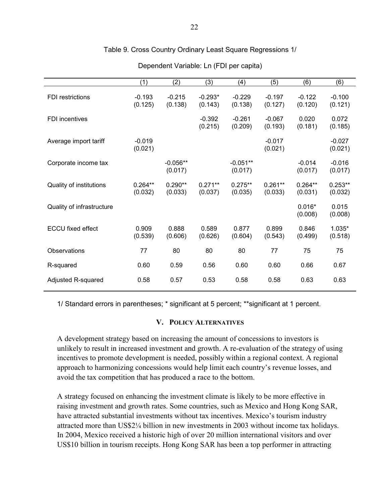|  | Table 9. Cross Country Ordinary Least Square Regressions 1/ |
|--|-------------------------------------------------------------|
|--|-------------------------------------------------------------|

|                           | (1)                  | (2)                   | (3)                  | (4)                   | (5)                  | (6)                  | (6)                  |
|---------------------------|----------------------|-----------------------|----------------------|-----------------------|----------------------|----------------------|----------------------|
| <b>FDI</b> restrictions   | $-0.193$<br>(0.125)  | $-0.215$<br>(0.138)   | $-0.293*$<br>(0.143) | $-0.229$<br>(0.138)   | $-0.197$<br>(0.127)  | $-0.122$<br>(0.120)  | $-0.100$<br>(0.121)  |
| <b>FDI</b> incentives     |                      |                       | $-0.392$<br>(0.215)  | $-0.261$<br>(0.209)   | $-0.067$<br>(0.193)  | 0.020<br>(0.181)     | 0.072<br>(0.185)     |
| Average import tariff     | $-0.019$<br>(0.021)  |                       |                      |                       | $-0.017$<br>(0.021)  |                      | $-0.027$<br>(0.021)  |
| Corporate income tax      |                      | $-0.056**$<br>(0.017) |                      | $-0.051**$<br>(0.017) |                      | $-0.014$<br>(0.017)  | $-0.016$<br>(0.017)  |
| Quality of institutions   | $0.264**$<br>(0.032) | $0.290**$<br>(0.033)  | $0.271**$<br>(0.037) | $0.275**$<br>(0.035)  | $0.261**$<br>(0.033) | $0.264**$<br>(0.031) | $0.253**$<br>(0.032) |
| Quality of infrastructure |                      |                       |                      |                       |                      | $0.016*$<br>(0.008)  | 0.015<br>(0.008)     |
| <b>ECCU fixed effect</b>  | 0.909<br>(0.539)     | 0.888<br>(0.606)      | 0.589<br>(0.626)     | 0.877<br>(0.604)      | 0.899<br>(0.543)     | 0.846<br>(0.499)     | $1.035*$<br>(0.518)  |
| Observations              | 77                   | 80                    | 80                   | 80                    | 77                   | 75                   | 75                   |
| R-squared                 | 0.60                 | 0.59                  | 0.56                 | 0.60                  | 0.60                 | 0.66                 | 0.67                 |
| Adjusted R-squared        | 0.58                 | 0.57                  | 0.53                 | 0.58                  | 0.58                 | 0.63                 | 0.63                 |

Dependent Variable: Ln (FDI per capita)

1/ Standard errors in parentheses; \* significant at 5 percent; \*\*significant at 1 percent.

## **V. POLICY ALTERNATIVES**

A development strategy based on increasing the amount of concessions to investors is unlikely to result in increased investment and growth. A re-evaluation of the strategy of using incentives to promote development is needed, possibly within a regional context. A regional approach to harmonizing concessions would help limit each country's revenue losses, and avoid the tax competition that has produced a race to the bottom.

A strategy focused on enhancing the investment climate is likely to be more effective in raising investment and growth rates. Some countries, such as Mexico and Hong Kong SAR, have attracted substantial investments without tax incentives. Mexico's tourism industry attracted more than US\$2¼ billion in new investments in 2003 without income tax holidays. In 2004, Mexico received a historic high of over 20 million international visitors and over US\$10 billion in tourism receipts. Hong Kong SAR has been a top performer in attracting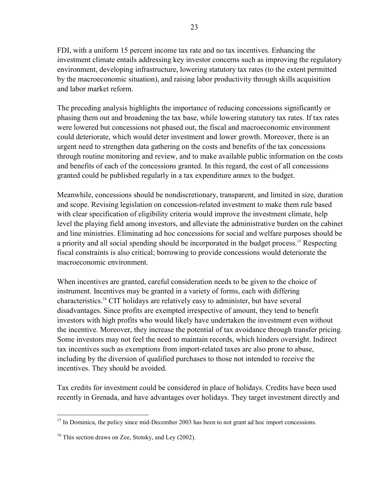FDI, with a uniform 15 percent income tax rate and no tax incentives. Enhancing the investment climate entails addressing key investor concerns such as improving the regulatory environment, developing infrastructure, lowering statutory tax rates (to the extent permitted by the macroeconomic situation), and raising labor productivity through skills acquisition and labor market reform.

The preceding analysis highlights the importance of reducing concessions significantly or phasing them out and broadening the tax base, while lowering statutory tax rates. If tax rates were lowered but concessions not phased out, the fiscal and macroeconomic environment could deteriorate, which would deter investment and lower growth. Moreover, there is an urgent need to strengthen data gathering on the costs and benefits of the tax concessions through routine monitoring and review, and to make available public information on the costs and benefits of each of the concessions granted. In this regard, the cost of all concessions granted could be published regularly in a tax expenditure annex to the budget.

Meanwhile, concessions should be nondiscretionary, transparent, and limited in size, duration and scope. Revising legislation on concession-related investment to make them rule based with clear specification of eligibility criteria would improve the investment climate, help level the playing field among investors, and alleviate the administrative burden on the cabinet and line ministries. Eliminating ad hoc concessions for social and welfare purposes should be a priority and all social spending should be incorporated in the budget process.<sup>15</sup> Respecting fiscal constraints is also critical; borrowing to provide concessions would deteriorate the macroeconomic environment.

When incentives are granted, careful consideration needs to be given to the choice of instrument. Incentives may be granted in a variety of forms, each with differing characteristics.16 CIT holidays are relatively easy to administer, but have several disadvantages. Since profits are exempted irrespective of amount, they tend to benefit investors with high profits who would likely have undertaken the investment even without the incentive. Moreover, they increase the potential of tax avoidance through transfer pricing. Some investors may not feel the need to maintain records, which hinders oversight. Indirect tax incentives such as exemptions from import-related taxes are also prone to abuse, including by the diversion of qualified purchases to those not intended to receive the incentives. They should be avoided.

Tax credits for investment could be considered in place of holidays. Credits have been used recently in Grenada, and have advantages over holidays. They target investment directly and

 $\overline{a}$ 

<sup>&</sup>lt;sup>15</sup> In Dominica, the policy since mid-December 2003 has been to not grant ad hoc import concessions.

 $16$  This section draws on Zee, Stotsky, and Ley (2002).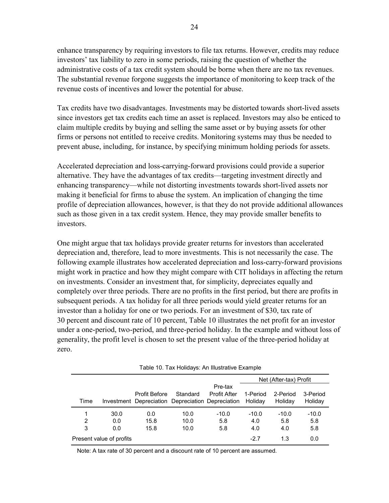enhance transparency by requiring investors to file tax returns. However, credits may reduce investors' tax liability to zero in some periods, raising the question of whether the administrative costs of a tax credit system should be borne when there are no tax revenues. The substantial revenue forgone suggests the importance of monitoring to keep track of the revenue costs of incentives and lower the potential for abuse.

Tax credits have two disadvantages. Investments may be distorted towards short-lived assets since investors get tax credits each time an asset is replaced. Investors may also be enticed to claim multiple credits by buying and selling the same asset or by buying assets for other firms or persons not entitled to receive credits. Monitoring systems may thus be needed to prevent abuse, including, for instance, by specifying minimum holding periods for assets.

Accelerated depreciation and loss-carrying-forward provisions could provide a superior alternative. They have the advantages of tax credits—targeting investment directly and enhancing transparency—while not distorting investments towards short-lived assets nor making it beneficial for firms to abuse the system. An implication of changing the time profile of depreciation allowances, however, is that they do not provide additional allowances such as those given in a tax credit system. Hence, they may provide smaller benefits to investors.

One might argue that tax holidays provide greater returns for investors than accelerated depreciation and, therefore, lead to more investments. This is not necessarily the case. The following example illustrates how accelerated depreciation and loss-carry-forward provisions might work in practice and how they might compare with CIT holidays in affecting the return on investments. Consider an investment that, for simplicity, depreciates equally and completely over three periods. There are no profits in the first period, but there are profits in subsequent periods. A tax holiday for all three periods would yield greater returns for an investor than a holiday for one or two periods. For an investment of \$30, tax rate of 30 percent and discount rate of 10 percent, Table 10 illustrates the net profit for an investor under a one-period, two-period, and three-period holiday. In the example and without loss of generality, the profit level is chosen to set the present value of the three-period holiday at zero.

|                                                  | Table To. Tax Holldayo. All illuotiative Example |                                                   |          |                     |                        |          |          |  |  |  |  |
|--------------------------------------------------|--------------------------------------------------|---------------------------------------------------|----------|---------------------|------------------------|----------|----------|--|--|--|--|
|                                                  |                                                  |                                                   |          |                     | Net (After-tax) Profit |          |          |  |  |  |  |
|                                                  |                                                  |                                                   |          | Pre-tax             |                        |          |          |  |  |  |  |
|                                                  |                                                  | <b>Profit Before</b>                              | Standard | <b>Profit After</b> | 1-Period               | 2-Period | 3-Period |  |  |  |  |
| Time                                             |                                                  | Investment Depreciation Depreciation Depreciation |          |                     | Holidav                | Holiday  | Holiday  |  |  |  |  |
| 1                                                | 30.0                                             | 0.0                                               | 10.0     | $-10.0$             | $-10.0$                | $-10.0$  | $-10.0$  |  |  |  |  |
| 2                                                | 0.0                                              | 15.8                                              | 10.0     | 5.8                 | 4.0                    | 5.8      | 5.8      |  |  |  |  |
| 3                                                | 0.0                                              | 15.8                                              | 10.0     | 5.8                 | 4.0                    | 4.0      | 5.8      |  |  |  |  |
| Present value of profits<br>1.3<br>$-2.7$<br>0.0 |                                                  |                                                   |          |                     |                        |          |          |  |  |  |  |

Table 10. Tax Holidays: An Illustrative Example

Note: A tax rate of 30 percent and a discount rate of 10 percent are assumed.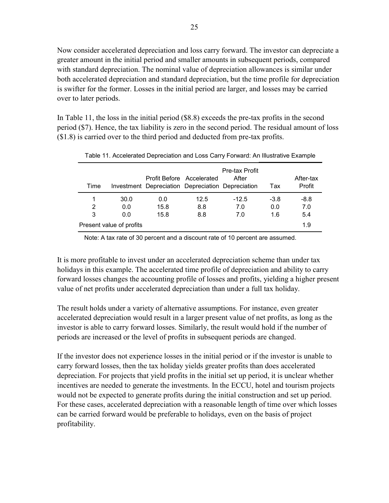Now consider accelerated depreciation and loss carry forward. The investor can depreciate a greater amount in the initial period and smaller amounts in subsequent periods, compared with standard depreciation. The nominal value of depreciation allowances is similar under both accelerated depreciation and standard depreciation, but the time profile for depreciation is swifter for the former. Losses in the initial period are larger, and losses may be carried over to later periods.

In Table 11, the loss in the initial period (\$8.8) exceeds the pre-tax profits in the second period (\$7). Hence, the tax liability is zero in the second period. The residual amount of loss (\$1.8) is carried over to the third period and deducted from pre-tax profits.

| Time |                          | Investment Depreciation Depreciation Depreciation | Profit Before Accelerated | Pre-tax Profit<br>After | Tax    | After-tax<br>Profit |
|------|--------------------------|---------------------------------------------------|---------------------------|-------------------------|--------|---------------------|
| 1    | 30.0                     | 0.0                                               | 12.5                      | $-12.5$                 | $-3.8$ | $-8.8$              |
| 2    | 0.0                      | 15.8                                              | 8.8                       | 7.0                     | 0.0    | 7.0                 |
| 3    | 0.0                      | 15.8                                              | 8.8                       | 7.0                     | 1.6    | 5.4                 |
|      | Present value of profits |                                                   |                           |                         |        | 1.9                 |

Table 11. Accelerated Depreciation and Loss Carry Forward: An Illustrative Example

Note: A tax rate of 30 percent and a discount rate of 10 percent are assumed.

It is more profitable to invest under an accelerated depreciation scheme than under tax holidays in this example. The accelerated time profile of depreciation and ability to carry forward losses changes the accounting profile of losses and profits, yielding a higher present value of net profits under accelerated depreciation than under a full tax holiday.

The result holds under a variety of alternative assumptions. For instance, even greater accelerated depreciation would result in a larger present value of net profits, as long as the investor is able to carry forward losses. Similarly, the result would hold if the number of periods are increased or the level of profits in subsequent periods are changed.

If the investor does not experience losses in the initial period or if the investor is unable to carry forward losses, then the tax holiday yields greater profits than does accelerated depreciation. For projects that yield profits in the initial set up period, it is unclear whether incentives are needed to generate the investments. In the ECCU, hotel and tourism projects would not be expected to generate profits during the initial construction and set up period. For these cases, accelerated depreciation with a reasonable length of time over which losses can be carried forward would be preferable to holidays, even on the basis of project profitability.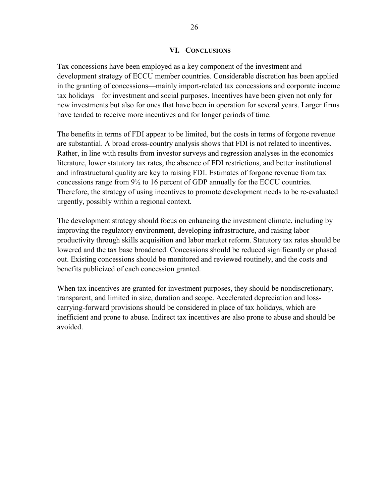#### **VI. CONCLUSIONS**

Tax concessions have been employed as a key component of the investment and development strategy of ECCU member countries. Considerable discretion has been applied in the granting of concessions—mainly import-related tax concessions and corporate income tax holidays—for investment and social purposes. Incentives have been given not only for new investments but also for ones that have been in operation for several years. Larger firms have tended to receive more incentives and for longer periods of time.

The benefits in terms of FDI appear to be limited, but the costs in terms of forgone revenue are substantial. A broad cross-country analysis shows that FDI is not related to incentives. Rather, in line with results from investor surveys and regression analyses in the economics literature, lower statutory tax rates, the absence of FDI restrictions, and better institutional and infrastructural quality are key to raising FDI. Estimates of forgone revenue from tax concessions range from 9½ to 16 percent of GDP annually for the ECCU countries. Therefore, the strategy of using incentives to promote development needs to be re-evaluated urgently, possibly within a regional context.

The development strategy should focus on enhancing the investment climate, including by improving the regulatory environment, developing infrastructure, and raising labor productivity through skills acquisition and labor market reform. Statutory tax rates should be lowered and the tax base broadened. Concessions should be reduced significantly or phased out. Existing concessions should be monitored and reviewed routinely, and the costs and benefits publicized of each concession granted.

When tax incentives are granted for investment purposes, they should be nondiscretionary, transparent, and limited in size, duration and scope. Accelerated depreciation and losscarrying-forward provisions should be considered in place of tax holidays, which are inefficient and prone to abuse. Indirect tax incentives are also prone to abuse and should be avoided.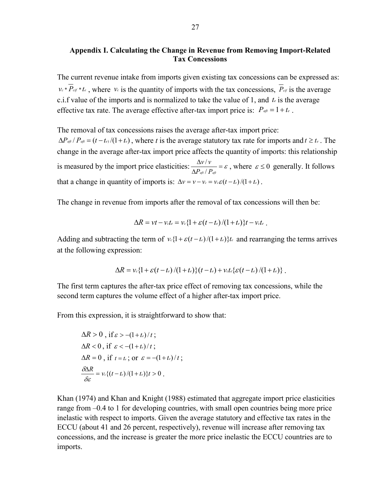## **Appendix I. Calculating the Change in Revenue from Removing Import-Related Tax Concessions**

The current revenue intake from imports given existing tax concessions can be expressed as:  $v_c * \overline{P}_{cif} * t_{\epsilon}$ , where  $v_c$  is the quantity of imports with the tax concessions,  $\overline{P}_{cf}$  is the average c.i.f value of the imports and is normalized to take the value of 1, and *te* is the average effective tax rate. The average effective after-tax import price is:  $P_{\alpha f} = 1 + t_e$ .

The removal of tax concessions raises the average after-tax import price:  $\Delta P_{\text{eff}}/P_{\text{eff}} = (t - t_e)/(1 + t_e)$ , where *t* is the average statutory tax rate for imports and  $t \ge t_e$ . The change in the average after-tax import price affects the quantity of imports: this relationship is measured by the import price elasticities:  $\frac{\Delta V/V}{\Delta P_{\text{qft}}/P_{\text{qft}}} = \varepsilon$ Δ  $P_{\textit{aft}}$  /  $P_{\textit{aft}}$  $\nu/\nu$  $\frac{f}{f}/\frac{v}{P_{\text{eff}}} = \varepsilon$ , where  $\varepsilon \le 0$  generally. It follows that a change in quantity of imports is:  $\Delta v = v - v_c = v_c \varepsilon (t - t_e)/(1 + t_e)$ .

The change in revenue from imports after the removal of tax concessions will then be:

$$
\Delta R = vt - v_c t_e = v_c \{1 + \varepsilon (t - t_e)/(1 + t_e)\}t - v_c t_e
$$

Adding and subtracting the term of  $v_c(1 + \varepsilon)(1 + t_e)$  *t<sub>e</sub>* and rearranging the terms arrives at the following expression:

$$
\Delta R = v_c \{1 + \mathcal{E}(t - t_e)/(1 + t_e)\}(t - t_e) + v_c t_e \{\mathcal{E}(t - t_e)/(1 + t_e)\}
$$

The first term captures the after-tax price effect of removing tax concessions, while the second term captures the volume effect of a higher after-tax import price.

From this expression, it is straightforward to show that:

$$
\Delta R > 0, \text{ if } \varepsilon > -(1+t_{\varepsilon})/t ;
$$
  
\n
$$
\Delta R < 0, \text{ if } \varepsilon < -(1+t_{\varepsilon})/t ;
$$
  
\n
$$
\Delta R = 0, \text{ if } t = t_{\varepsilon}; \text{ or } \varepsilon = -(1+t_{\varepsilon})/t ;
$$
  
\n
$$
\frac{\delta \Delta R}{\delta \varepsilon} = v_{\varepsilon} \{ (t - t_{\varepsilon})/(1+t_{\varepsilon}) \} t > 0 .
$$

Khan (1974) and Khan and Knight (1988) estimated that aggregate import price elasticities range from –0.4 to 1 for developing countries, with small open countries being more price inelastic with respect to imports. Given the average statutory and effective tax rates in the ECCU (about 41 and 26 percent, respectively), revenue will increase after removing tax concessions, and the increase is greater the more price inelastic the ECCU countries are to imports.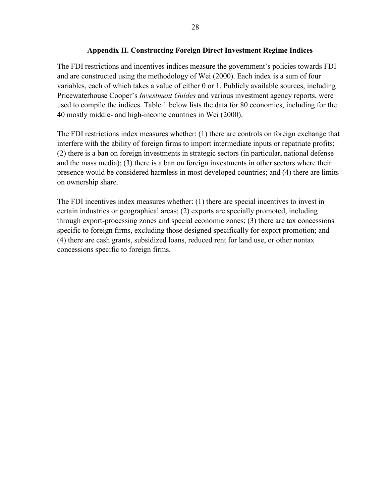## **Appendix II. Constructing Foreign Direct Investment Regime Indices**

The FDI restrictions and incentives indices measure the government's policies towards FDI and are constructed using the methodology of Wei (2000). Each index is a sum of four variables, each of which takes a value of either 0 or 1. Publicly available sources, including Pricewaterhouse Cooper's *Investment Guides* and various investment agency reports, were used to compile the indices. Table 1 below lists the data for 80 economies, including for the 40 mostly middle- and high-income countries in Wei (2000).

The FDI restrictions index measures whether: (1) there are controls on foreign exchange that interfere with the ability of foreign firms to import intermediate inputs or repatriate profits; (2) there is a ban on foreign investments in strategic sectors (in particular, national defense and the mass media); (3) there is a ban on foreign investments in other sectors where their presence would be considered harmless in most developed countries; and (4) there are limits on ownership share.

The FDI incentives index measures whether: (1) there are special incentives to invest in certain industries or geographical areas; (2) exports are specially promoted, including through export-processing zones and special economic zones; (3) there are tax concessions specific to foreign firms, excluding those designed specifically for export promotion; and (4) there are cash grants, subsidized loans, reduced rent for land use, or other nontax concessions specific to foreign firms.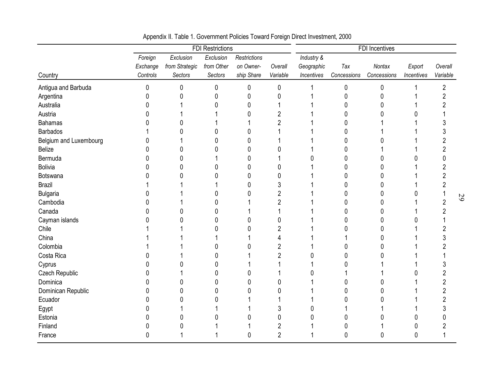|                        |          |                | <b>FDI Restrictions</b> |                     |                | FDI Incentives |             |             |                |                         |
|------------------------|----------|----------------|-------------------------|---------------------|----------------|----------------|-------------|-------------|----------------|-------------------------|
|                        | Foreign  | Exclusion      | Exclusion               | <b>Restrictions</b> |                | Industry &     |             |             |                |                         |
|                        | Exchange | from Strategic | from Other              | on Owner-           | Overall        | Geographic     | Tax         | Nontax      | Export         | Overall                 |
| Country                | Controls | Sectors        | Sectors                 | ship Share          | Variable       | Incentives     | Concessions | Concessions | Incentives     | Variable                |
| Antigua and Barbuda    | 0        | 0              | 0                       | 0                   | 0              |                | 0           | 0           |                | $\overline{\mathbf{c}}$ |
| Argentina              | 0        | 0              | 0                       | 0                   | 0              |                | 0           | 0           |                | 2                       |
| Australia              | 0        |                | 0                       | 0                   |                |                | N           | 0           |                |                         |
| Austria                | 0        |                |                         | 0                   | 2              |                | N           | U           |                |                         |
| <b>Bahamas</b>         | N        | 0              |                         |                     | $\overline{2}$ |                | Λ           |             |                |                         |
| <b>Barbados</b>        |          |                | 0                       |                     |                |                | N           |             |                |                         |
| Belgium and Luxembourg | 0        |                | ŋ                       | N                   |                |                |             |             |                |                         |
| <b>Belize</b>          | በ        |                |                         |                     |                |                | n           |             |                |                         |
| Bermuda                |          |                |                         |                     |                |                | ⋂           | U           |                |                         |
| Bolivia                |          | 0              | 0                       | C                   |                |                |             |             |                |                         |
| Botswana               |          |                | 0                       | 0                   | 0              |                | O           | 0           |                |                         |
| <b>Brazil</b>          |          |                |                         | N                   | 3              |                | n           | 0           |                |                         |
| <b>Bulgaria</b>        |          |                | 0                       |                     | $\overline{2}$ |                | N           | 0           |                |                         |
| Cambodia               |          |                | U                       |                     | $\overline{2}$ |                | N           | 0           |                |                         |
| Canada                 |          |                |                         |                     |                |                |             | 0           |                |                         |
| Cayman islands         |          |                | 0                       |                     | 0              |                | O           | 0           |                |                         |
| Chile                  |          |                |                         | N                   | 2              |                |             | 0           |                |                         |
| China                  |          |                |                         |                     |                |                |             | O           |                |                         |
| Colombia               |          |                | Λ                       |                     | $\overline{2}$ |                |             | C           |                |                         |
| Costa Rica             |          |                | N                       |                     | $\overline{2}$ |                |             |             |                |                         |
| Cyprus                 |          |                | U                       |                     |                |                |             |             |                |                         |
| Czech Republic         |          |                | 0                       |                     |                |                |             |             |                |                         |
| Dominica               |          |                | 0                       |                     | Λ              |                |             |             |                |                         |
| Dominican Republic     |          |                | 0                       |                     | 0              |                |             |             |                |                         |
| Ecuador                |          |                |                         |                     |                |                |             |             |                |                         |
| Egypt                  |          |                |                         |                     | 3              |                |             |             |                |                         |
| Estonia                |          |                |                         |                     | 0              |                |             |             | ſ              |                         |
| Finland                |          |                |                         |                     | 2              |                | 0           |             | O              |                         |
| France                 | 0        |                |                         | $\Omega$            | $\overline{2}$ |                | 0           | 0           | $\overline{0}$ |                         |

Appendix II. Table 1. Government Policies Toward Foreign Direct Investment, 2000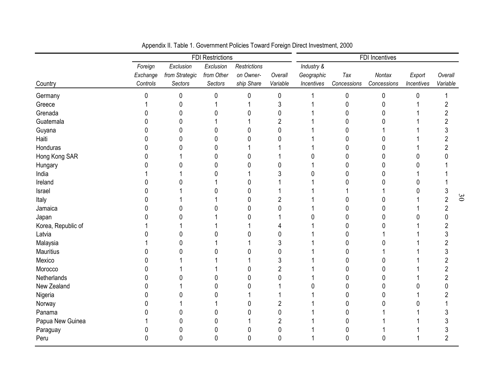|                    |          |                | <b>FDI Restrictions</b> |                     |                | FDI Incentives |              |              |            |          |  |
|--------------------|----------|----------------|-------------------------|---------------------|----------------|----------------|--------------|--------------|------------|----------|--|
|                    | Foreign  | Exclusion      | Exclusion               | <b>Restrictions</b> |                | Industry &     |              |              |            |          |  |
|                    | Exchange | from Strategic | from Other              | on Owner-           | Overall        | Geographic     | Tax          | Nontax       | Export     | Overall  |  |
| Country            | Controls | Sectors        | Sectors                 | ship Share          | Variable       | Incentives     | Concessions  | Concessions  | Incentives | Variable |  |
| Germany            | 0        | 0              | 0                       | $\mathbf{0}$        | 0              |                | $\pmb{0}$    | $\mathbf{0}$ | $\Omega$   |          |  |
| Greece             |          | 0              |                         |                     | 3              |                | 0            | 0            |            |          |  |
| Grenada            | 0        | 0              | N                       | n                   | 0              |                | <sup>0</sup> | 0            |            |          |  |
| Guatemala          | N        | 0              |                         |                     | $\overline{c}$ |                | <sup>0</sup> | O            |            |          |  |
| Guyana             | N        | 0              | ŋ                       |                     | 0              |                |              |              |            |          |  |
| Haiti              | 0        | 0              | 0                       |                     | Ω              |                | O            |              |            |          |  |
| Honduras           | O        | N              | N                       |                     |                |                |              | O            |            |          |  |
| Hong Kong SAR      | 0        |                | N                       |                     |                |                | 0            | 0            | O          |          |  |
| Hungary            |          |                |                         |                     | Λ              |                | ი            | 0            | n          |          |  |
| India              |          |                |                         |                     | 3              |                |              | 0            |            |          |  |
| Ireland            |          |                |                         |                     |                |                |              | O            |            |          |  |
| Israel             | በ        |                |                         |                     |                |                |              |              |            |          |  |
| Italy              |          |                |                         |                     | 2              |                | 0            | O            |            |          |  |
| Jamaica            |          |                |                         |                     | Ω              |                | n            | 0            |            | 2        |  |
| Japan              |          |                |                         |                     |                |                | 0            | 0            |            |          |  |
| Korea, Republic of |          |                |                         |                     |                |                | ი            | 0            |            |          |  |
| Latvia             |          | 0              |                         | n                   | 0              |                | 0            |              |            |          |  |
| Malaysia           |          |                |                         |                     | 3              |                |              | O            |            |          |  |
| Mauritius          |          |                |                         |                     | 0              |                |              |              |            |          |  |
| Mexico             |          |                |                         |                     | 3              |                |              |              |            |          |  |
| Morocco            |          |                |                         |                     | 2              |                | N            | O            |            |          |  |
| Netherlands        |          |                |                         |                     | 0              |                | O            | 0            |            |          |  |
| New Zealand        |          |                | N                       |                     |                |                | 0            | 0            | n          |          |  |
| Nigeria            |          |                |                         |                     |                |                |              | 0            |            |          |  |
| Norway             |          |                |                         |                     | 2              |                |              |              |            |          |  |
| Panama             |          |                |                         |                     | 0              |                |              |              |            |          |  |
| Papua New Guinea   |          |                |                         |                     | 2              |                |              |              |            |          |  |
| Paraguay           | O        |                |                         | U                   | 0              |                |              |              |            |          |  |
| Peru               | 0        | $\mathbf 0$    | 0                       | $\mathbf{0}$        | 0              |                | 0            | 0            |            | 2        |  |

Appendix II. Table 1. Government Policies Toward Foreign Direct Investment, 2000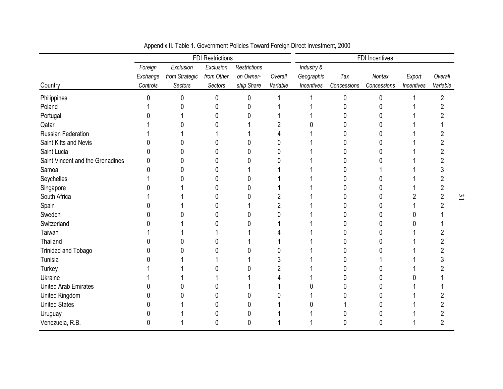|                                  | <b>FDI Restrictions</b> |                |            |                     |          | FDI Incentives |             |             |            |          |
|----------------------------------|-------------------------|----------------|------------|---------------------|----------|----------------|-------------|-------------|------------|----------|
|                                  | Foreign                 | Exclusion      | Exclusion  | <b>Restrictions</b> |          | Industry &     |             |             |            |          |
|                                  | Exchange                | from Strategic | from Other | on Owner-           | Overall  | Geographic     | Tax         | Nontax      | Export     | Overall  |
| Country                          | Controls                | Sectors        | Sectors    | ship Share          | Variable | Incentives     | Concessions | Concessions | Incentives | Variable |
| Philippines                      |                         | O              | 0          |                     |          |                | 0           | Ŋ           |            | 2        |
| Poland                           |                         |                |            |                     |          |                |             |             |            |          |
| Portugal                         |                         |                |            |                     |          |                |             |             |            |          |
| Qatar                            |                         |                |            |                     |          |                |             |             |            |          |
| <b>Russian Federation</b>        |                         |                |            |                     |          |                |             | n           |            |          |
| Saint Kitts and Nevis            |                         |                |            |                     |          |                |             |             |            |          |
| Saint Lucia                      |                         |                |            |                     |          |                |             |             |            |          |
| Saint Vincent and the Grenadines |                         |                |            |                     |          |                |             |             |            |          |
| Samoa                            |                         |                |            |                     |          |                |             |             |            |          |
| Seychelles                       |                         |                |            |                     |          |                |             |             |            |          |
| Singapore                        |                         |                |            |                     |          |                |             |             |            |          |
| South Africa                     |                         |                |            |                     |          |                |             |             |            |          |
| Spain                            |                         |                |            |                     | 2        |                |             |             |            |          |
| Sweden                           |                         |                |            |                     |          |                |             |             |            |          |
| Switzerland                      |                         |                |            |                     |          |                |             |             |            |          |
| Taiwan                           |                         |                |            |                     |          |                |             |             |            |          |
| Thailand                         |                         |                |            |                     |          |                |             |             |            |          |
| Trinidad and Tobago              |                         |                |            |                     |          |                |             |             |            |          |
| Tunisia                          |                         |                |            |                     | 3        |                |             |             |            |          |
| Turkey                           |                         |                |            |                     | 2        |                |             |             |            |          |
| Ukraine                          |                         |                |            |                     |          |                |             |             |            |          |
| <b>United Arab Emirates</b>      |                         |                |            |                     |          |                |             |             |            |          |
| United Kingdom                   |                         |                |            |                     |          |                |             |             |            |          |
| <b>United States</b>             |                         |                |            |                     |          |                |             |             |            |          |
| Uruguay                          |                         |                |            |                     |          |                |             |             |            |          |
| Venezuela, R.B.                  | 0                       |                |            | 0                   |          |                |             | 0           |            |          |

Appendix II. Table 1. Government Policies Toward Foreign Direct Investment, 2000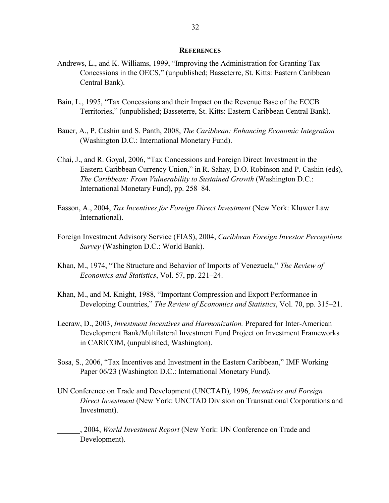#### **REFERENCES**

- Andrews, L., and K. Williams, 1999, "Improving the Administration for Granting Tax Concessions in the OECS," (unpublished; Basseterre, St. Kitts: Eastern Caribbean Central Bank).
- Bain, L., 1995, "Tax Concessions and their Impact on the Revenue Base of the ECCB Territories," (unpublished; Basseterre, St. Kitts: Eastern Caribbean Central Bank).
- Bauer, A., P. Cashin and S. Panth, 2008, *The Caribbean: Enhancing Economic Integration* (Washington D.C.: International Monetary Fund).
- Chai, J., and R. Goyal, 2006, "Tax Concessions and Foreign Direct Investment in the Eastern Caribbean Currency Union," in R. Sahay, D.O. Robinson and P. Cashin (eds), *The Caribbean: From Vulnerability to Sustained Growth* (Washington D.C.: International Monetary Fund), pp. 258–84.
- Easson, A., 2004, *Tax Incentives for Foreign Direct Investment* (New York: Kluwer Law International).
- Foreign Investment Advisory Service (FIAS), 2004, *Caribbean Foreign Investor Perceptions Survey* (Washington D.C.: World Bank).
- Khan, M., 1974, "The Structure and Behavior of Imports of Venezuela," *The Review of Economics and Statistics*, Vol. 57, pp. 221–24.
- Khan, M., and M. Knight, 1988, "Important Compression and Export Performance in Developing Countries," *The Review of Economics and Statistics*, Vol. 70, pp. 315–21.
- Lecraw, D., 2003, *Investment Incentives and Harmonization.* Prepared for Inter-American Development Bank/Multilateral Investment Fund Project on Investment Frameworks in CARICOM, (unpublished; Washington).
- Sosa, S., 2006, "Tax Incentives and Investment in the Eastern Caribbean," IMF Working Paper 06/23 (Washington D.C.: International Monetary Fund).
- UN Conference on Trade and Development (UNCTAD), 1996, *Incentives and Foreign Direct Investment* (New York: UNCTAD Division on Transnational Corporations and Investment).

\_\_\_\_\_\_, 2004, *World Investment Report* (New York: UN Conference on Trade and Development).